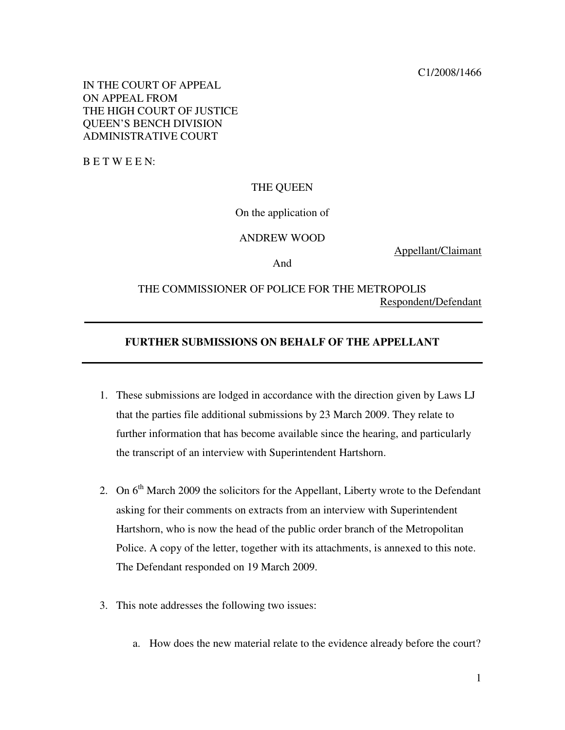IN THE COURT OF APPEAL ON APPEAL FROM THE HIGH COURT OF JUSTICE QUEEN'S BENCH DIVISION ADMINISTRATIVE COURT

B E T W E E N:

### THE QUEEN

On the application of

#### ANDREW WOOD

Appellant/Claimant

And

# THE COMMISSIONER OF POLICE FOR THE METROPOLIS Respondent/Defendant

## **FURTHER SUBMISSIONS ON BEHALF OF THE APPELLANT**

- 1. These submissions are lodged in accordance with the direction given by Laws LJ that the parties file additional submissions by 23 March 2009. They relate to further information that has become available since the hearing, and particularly the transcript of an interview with Superintendent Hartshorn.
- 2. On  $6<sup>th</sup>$  March 2009 the solicitors for the Appellant, Liberty wrote to the Defendant asking for their comments on extracts from an interview with Superintendent Hartshorn, who is now the head of the public order branch of the Metropolitan Police. A copy of the letter, together with its attachments, is annexed to this note. The Defendant responded on 19 March 2009.
- 3. This note addresses the following two issues:
	- a. How does the new material relate to the evidence already before the court?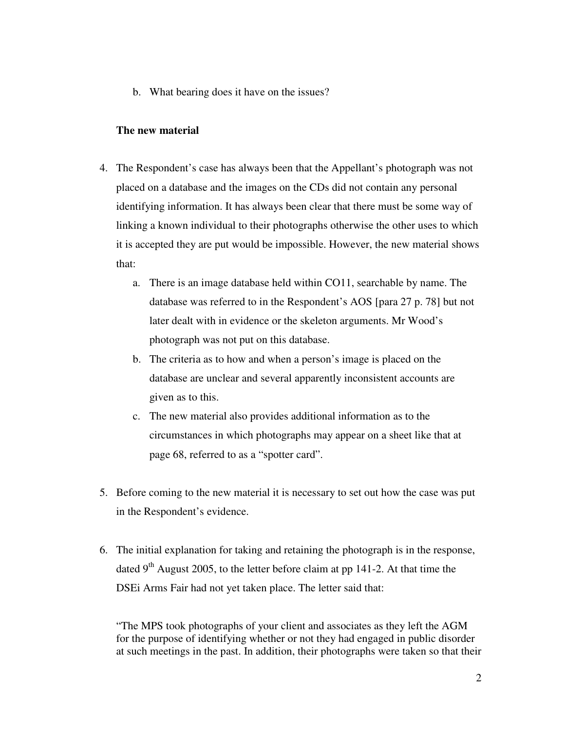b. What bearing does it have on the issues?

### **The new material**

- 4. The Respondent's case has always been that the Appellant's photograph was not placed on a database and the images on the CDs did not contain any personal identifying information. It has always been clear that there must be some way of linking a known individual to their photographs otherwise the other uses to which it is accepted they are put would be impossible. However, the new material shows that:
	- a. There is an image database held within CO11, searchable by name. The database was referred to in the Respondent's AOS [para 27 p. 78] but not later dealt with in evidence or the skeleton arguments. Mr Wood's photograph was not put on this database.
	- b. The criteria as to how and when a person's image is placed on the database are unclear and several apparently inconsistent accounts are given as to this.
	- c. The new material also provides additional information as to the circumstances in which photographs may appear on a sheet like that at page 68, referred to as a "spotter card".
- 5. Before coming to the new material it is necessary to set out how the case was put in the Respondent's evidence.
- 6. The initial explanation for taking and retaining the photograph is in the response, dated  $9<sup>th</sup>$  August 2005, to the letter before claim at pp 141-2. At that time the DSEi Arms Fair had not yet taken place. The letter said that:

"The MPS took photographs of your client and associates as they left the AGM for the purpose of identifying whether or not they had engaged in public disorder at such meetings in the past. In addition, their photographs were taken so that their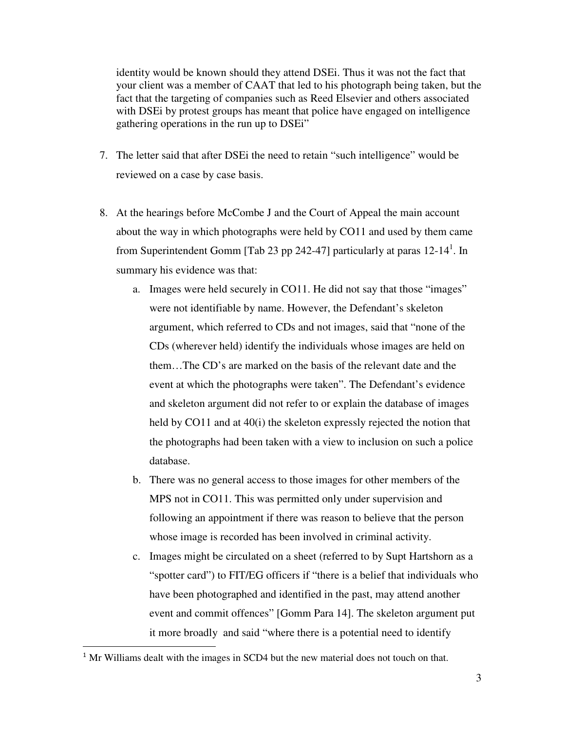identity would be known should they attend DSEi. Thus it was not the fact that your client was a member of CAAT that led to his photograph being taken, but the fact that the targeting of companies such as Reed Elsevier and others associated with DSEi by protest groups has meant that police have engaged on intelligence gathering operations in the run up to DSEi"

- 7. The letter said that after DSEi the need to retain "such intelligence" would be reviewed on a case by case basis.
- 8. At the hearings before McCombe J and the Court of Appeal the main account about the way in which photographs were held by CO11 and used by them came from Superintendent Gomm [Tab 23 pp 242-47] particularly at paras  $12-14<sup>1</sup>$ . In summary his evidence was that:
	- a. Images were held securely in CO11. He did not say that those "images" were not identifiable by name. However, the Defendant's skeleton argument, which referred to CDs and not images, said that "none of the CDs (wherever held) identify the individuals whose images are held on them…The CD's are marked on the basis of the relevant date and the event at which the photographs were taken". The Defendant's evidence and skeleton argument did not refer to or explain the database of images held by CO11 and at 40(i) the skeleton expressly rejected the notion that the photographs had been taken with a view to inclusion on such a police database.
	- b. There was no general access to those images for other members of the MPS not in CO11. This was permitted only under supervision and following an appointment if there was reason to believe that the person whose image is recorded has been involved in criminal activity.
	- c. Images might be circulated on a sheet (referred to by Supt Hartshorn as a "spotter card") to FIT/EG officers if "there is a belief that individuals who have been photographed and identified in the past, may attend another event and commit offences" [Gomm Para 14]. The skeleton argument put it more broadly and said "where there is a potential need to identify

 $\overline{a}$ 

<sup>&</sup>lt;sup>1</sup> Mr Williams dealt with the images in SCD4 but the new material does not touch on that.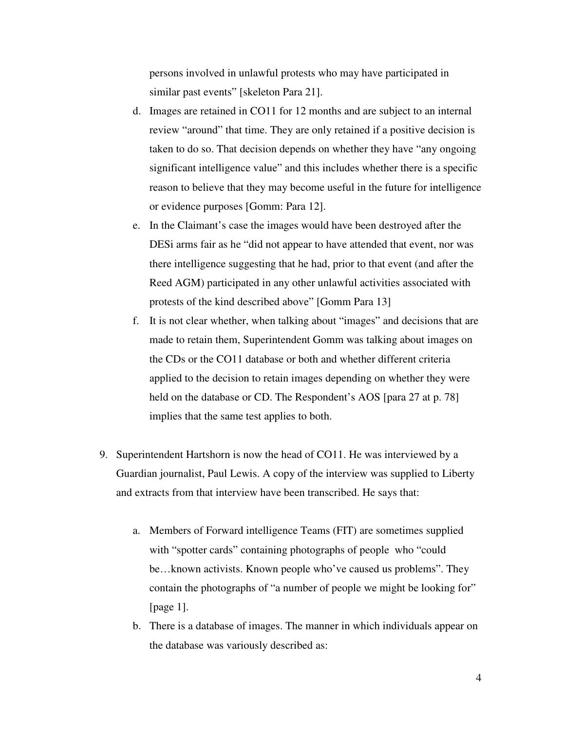persons involved in unlawful protests who may have participated in similar past events" [skeleton Para 21].

- d. Images are retained in CO11 for 12 months and are subject to an internal review "around" that time. They are only retained if a positive decision is taken to do so. That decision depends on whether they have "any ongoing significant intelligence value" and this includes whether there is a specific reason to believe that they may become useful in the future for intelligence or evidence purposes [Gomm: Para 12].
- e. In the Claimant's case the images would have been destroyed after the DESi arms fair as he "did not appear to have attended that event, nor was there intelligence suggesting that he had, prior to that event (and after the Reed AGM) participated in any other unlawful activities associated with protests of the kind described above" [Gomm Para 13]
- f. It is not clear whether, when talking about "images" and decisions that are made to retain them, Superintendent Gomm was talking about images on the CDs or the CO11 database or both and whether different criteria applied to the decision to retain images depending on whether they were held on the database or CD. The Respondent's AOS [para 27 at p. 78] implies that the same test applies to both.
- 9. Superintendent Hartshorn is now the head of CO11. He was interviewed by a Guardian journalist, Paul Lewis. A copy of the interview was supplied to Liberty and extracts from that interview have been transcribed. He says that:
	- a. Members of Forward intelligence Teams (FIT) are sometimes supplied with "spotter cards" containing photographs of people who "could be…known activists. Known people who've caused us problems". They contain the photographs of "a number of people we might be looking for" [page 1].
	- b. There is a database of images. The manner in which individuals appear on the database was variously described as: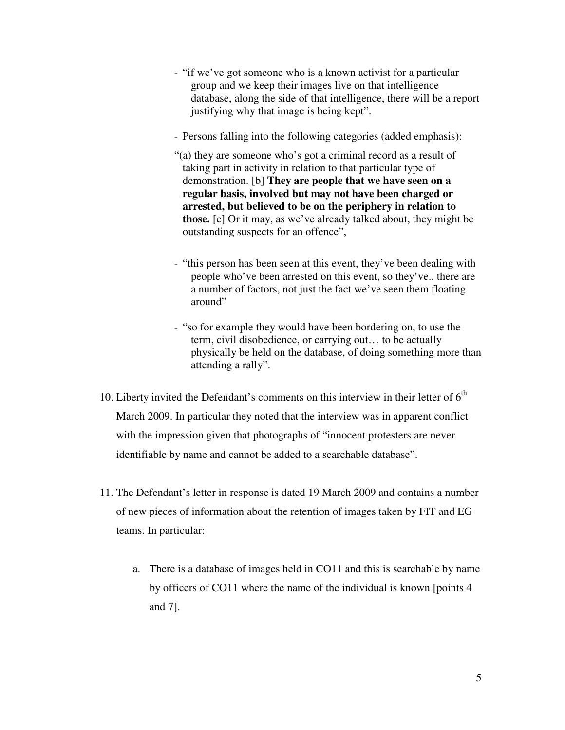- "if we've got someone who is a known activist for a particular group and we keep their images live on that intelligence database, along the side of that intelligence, there will be a report justifying why that image is being kept".
- Persons falling into the following categories (added emphasis):
- "(a) they are someone who's got a criminal record as a result of taking part in activity in relation to that particular type of demonstration. [b] **They are people that we have seen on a regular basis, involved but may not have been charged or arrested, but believed to be on the periphery in relation to those.** [c] Or it may, as we've already talked about, they might be outstanding suspects for an offence",
- "this person has been seen at this event, they've been dealing with people who've been arrested on this event, so they've.. there are a number of factors, not just the fact we've seen them floating around"
- "so for example they would have been bordering on, to use the term, civil disobedience, or carrying out… to be actually physically be held on the database, of doing something more than attending a rally".
- 10. Liberty invited the Defendant's comments on this interview in their letter of  $6<sup>th</sup>$ March 2009. In particular they noted that the interview was in apparent conflict with the impression given that photographs of "innocent protesters are never identifiable by name and cannot be added to a searchable database".
- 11. The Defendant's letter in response is dated 19 March 2009 and contains a number of new pieces of information about the retention of images taken by FIT and EG teams. In particular:
	- a. There is a database of images held in CO11 and this is searchable by name by officers of CO11 where the name of the individual is known [points 4 and 7].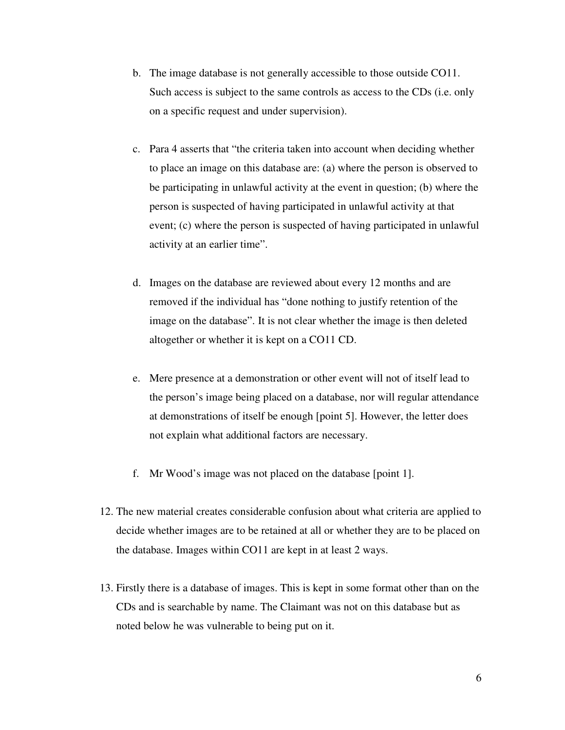- b. The image database is not generally accessible to those outside CO11. Such access is subject to the same controls as access to the CDs (i.e. only on a specific request and under supervision).
- c. Para 4 asserts that "the criteria taken into account when deciding whether to place an image on this database are: (a) where the person is observed to be participating in unlawful activity at the event in question; (b) where the person is suspected of having participated in unlawful activity at that event; (c) where the person is suspected of having participated in unlawful activity at an earlier time".
- d. Images on the database are reviewed about every 12 months and are removed if the individual has "done nothing to justify retention of the image on the database". It is not clear whether the image is then deleted altogether or whether it is kept on a CO11 CD.
- e. Mere presence at a demonstration or other event will not of itself lead to the person's image being placed on a database, nor will regular attendance at demonstrations of itself be enough [point 5]. However, the letter does not explain what additional factors are necessary.
- f. Mr Wood's image was not placed on the database [point 1].
- 12. The new material creates considerable confusion about what criteria are applied to decide whether images are to be retained at all or whether they are to be placed on the database. Images within CO11 are kept in at least 2 ways.
- 13. Firstly there is a database of images. This is kept in some format other than on the CDs and is searchable by name. The Claimant was not on this database but as noted below he was vulnerable to being put on it.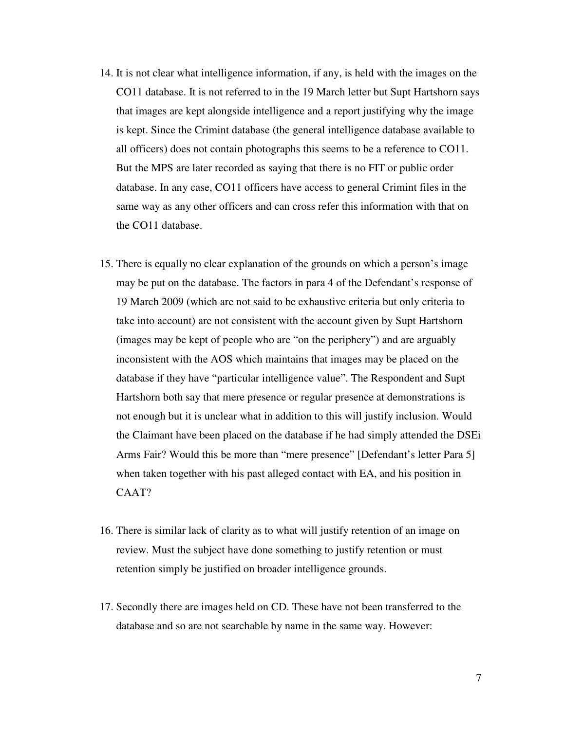- 14. It is not clear what intelligence information, if any, is held with the images on the CO11 database. It is not referred to in the 19 March letter but Supt Hartshorn says that images are kept alongside intelligence and a report justifying why the image is kept. Since the Crimint database (the general intelligence database available to all officers) does not contain photographs this seems to be a reference to CO11. But the MPS are later recorded as saying that there is no FIT or public order database. In any case, CO11 officers have access to general Crimint files in the same way as any other officers and can cross refer this information with that on the CO11 database.
- 15. There is equally no clear explanation of the grounds on which a person's image may be put on the database. The factors in para 4 of the Defendant's response of 19 March 2009 (which are not said to be exhaustive criteria but only criteria to take into account) are not consistent with the account given by Supt Hartshorn (images may be kept of people who are "on the periphery") and are arguably inconsistent with the AOS which maintains that images may be placed on the database if they have "particular intelligence value". The Respondent and Supt Hartshorn both say that mere presence or regular presence at demonstrations is not enough but it is unclear what in addition to this will justify inclusion. Would the Claimant have been placed on the database if he had simply attended the DSEi Arms Fair? Would this be more than "mere presence" [Defendant's letter Para 5] when taken together with his past alleged contact with EA, and his position in CAAT?
- 16. There is similar lack of clarity as to what will justify retention of an image on review. Must the subject have done something to justify retention or must retention simply be justified on broader intelligence grounds.
- 17. Secondly there are images held on CD. These have not been transferred to the database and so are not searchable by name in the same way. However: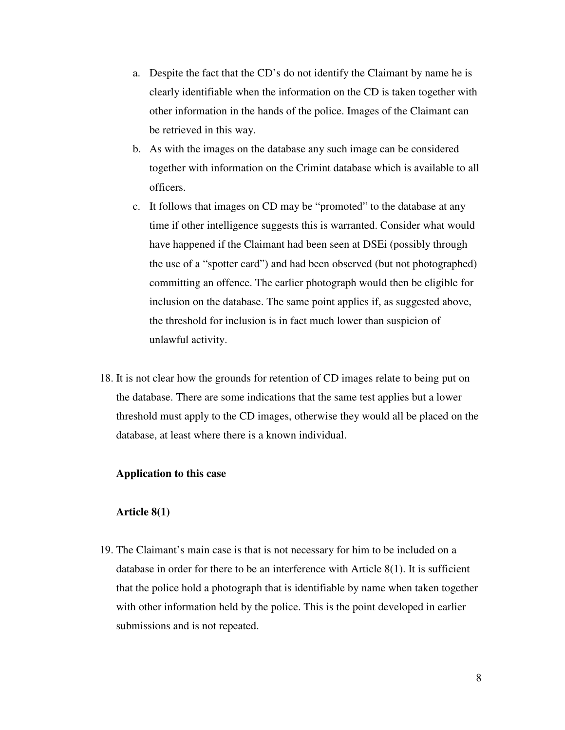- a. Despite the fact that the CD's do not identify the Claimant by name he is clearly identifiable when the information on the CD is taken together with other information in the hands of the police. Images of the Claimant can be retrieved in this way.
- b. As with the images on the database any such image can be considered together with information on the Crimint database which is available to all officers.
- c. It follows that images on CD may be "promoted" to the database at any time if other intelligence suggests this is warranted. Consider what would have happened if the Claimant had been seen at DSEi (possibly through the use of a "spotter card") and had been observed (but not photographed) committing an offence. The earlier photograph would then be eligible for inclusion on the database. The same point applies if, as suggested above, the threshold for inclusion is in fact much lower than suspicion of unlawful activity.
- 18. It is not clear how the grounds for retention of CD images relate to being put on the database. There are some indications that the same test applies but a lower threshold must apply to the CD images, otherwise they would all be placed on the database, at least where there is a known individual.

### **Application to this case**

#### **Article 8(1)**

19. The Claimant's main case is that is not necessary for him to be included on a database in order for there to be an interference with Article 8(1). It is sufficient that the police hold a photograph that is identifiable by name when taken together with other information held by the police. This is the point developed in earlier submissions and is not repeated.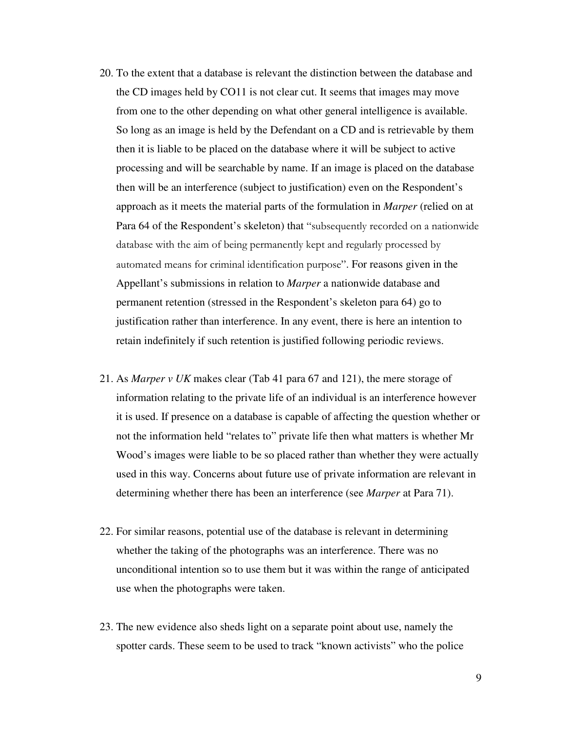- 20. To the extent that a database is relevant the distinction between the database and the CD images held by CO11 is not clear cut. It seems that images may move from one to the other depending on what other general intelligence is available. So long as an image is held by the Defendant on a CD and is retrievable by them then it is liable to be placed on the database where it will be subject to active processing and will be searchable by name. If an image is placed on the database then will be an interference (subject to justification) even on the Respondent's approach as it meets the material parts of the formulation in *Marper* (relied on at Para 64 of the Respondent's skeleton) that "subsequently recorded on a nationwide database with the aim of being permanently kept and regularly processed by automated means for criminal identification purpose". For reasons given in the Appellant's submissions in relation to *Marper* a nationwide database and permanent retention (stressed in the Respondent's skeleton para 64) go to justification rather than interference. In any event, there is here an intention to retain indefinitely if such retention is justified following periodic reviews.
- 21. As *Marper v UK* makes clear (Tab 41 para 67 and 121), the mere storage of information relating to the private life of an individual is an interference however it is used. If presence on a database is capable of affecting the question whether or not the information held "relates to" private life then what matters is whether Mr Wood's images were liable to be so placed rather than whether they were actually used in this way. Concerns about future use of private information are relevant in determining whether there has been an interference (see *Marper* at Para 71).
- 22. For similar reasons, potential use of the database is relevant in determining whether the taking of the photographs was an interference. There was no unconditional intention so to use them but it was within the range of anticipated use when the photographs were taken.
- 23. The new evidence also sheds light on a separate point about use, namely the spotter cards. These seem to be used to track "known activists" who the police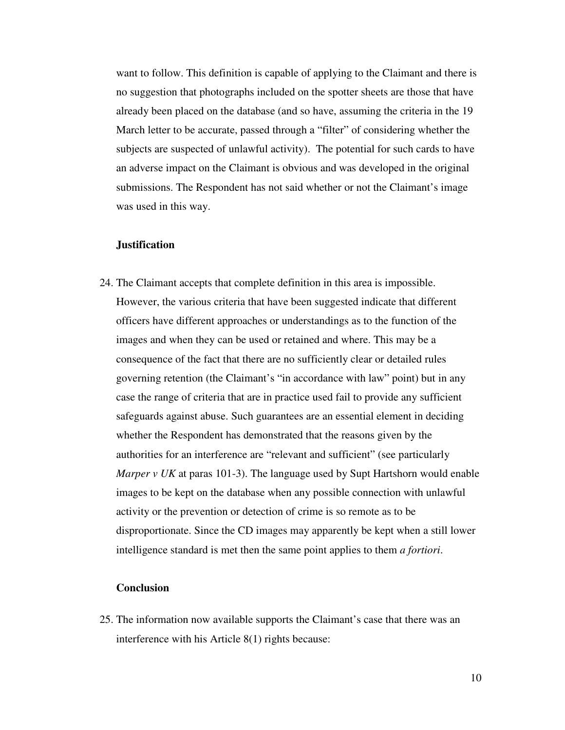want to follow. This definition is capable of applying to the Claimant and there is no suggestion that photographs included on the spotter sheets are those that have already been placed on the database (and so have, assuming the criteria in the 19 March letter to be accurate, passed through a "filter" of considering whether the subjects are suspected of unlawful activity). The potential for such cards to have an adverse impact on the Claimant is obvious and was developed in the original submissions. The Respondent has not said whether or not the Claimant's image was used in this way.

#### **Justification**

24. The Claimant accepts that complete definition in this area is impossible. However, the various criteria that have been suggested indicate that different officers have different approaches or understandings as to the function of the images and when they can be used or retained and where. This may be a consequence of the fact that there are no sufficiently clear or detailed rules governing retention (the Claimant's "in accordance with law" point) but in any case the range of criteria that are in practice used fail to provide any sufficient safeguards against abuse. Such guarantees are an essential element in deciding whether the Respondent has demonstrated that the reasons given by the authorities for an interference are "relevant and sufficient" (see particularly *Marper v UK* at paras 101-3). The language used by Supt Hartshorn would enable images to be kept on the database when any possible connection with unlawful activity or the prevention or detection of crime is so remote as to be disproportionate. Since the CD images may apparently be kept when a still lower intelligence standard is met then the same point applies to them *a fortiori*.

## **Conclusion**

25. The information now available supports the Claimant's case that there was an interference with his Article 8(1) rights because: